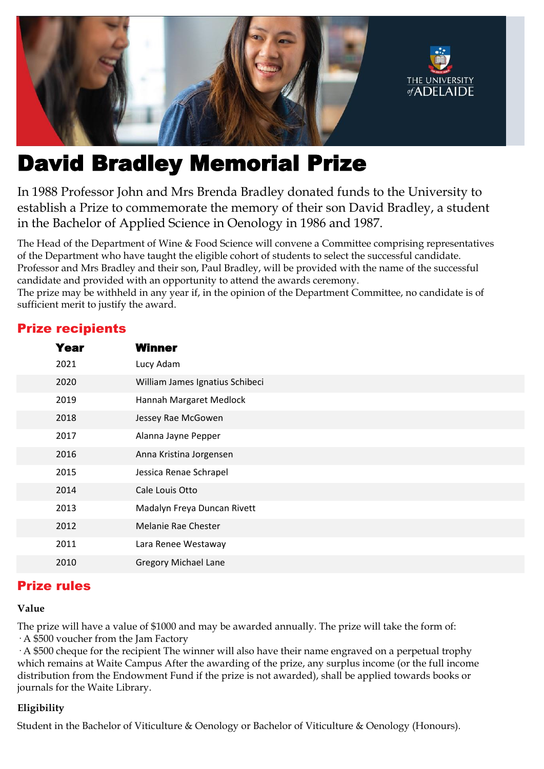

# David Bradley Memorial Prize

In 1988 Professor John and Mrs Brenda Bradley donated funds to the University to establish a Prize to commemorate the memory of their son David Bradley, a student in the Bachelor of Applied Science in Oenology in 1986 and 1987.

The Head of the Department of Wine & Food Science will convene a Committee comprising representatives of the Department who have taught the eligible cohort of students to select the successful candidate. Professor and Mrs Bradley and their son, Paul Bradley, will be provided with the name of the successful candidate and provided with an opportunity to attend the awards ceremony.

The prize may be withheld in any year if, in the opinion of the Department Committee, no candidate is of sufficient merit to justify the award.

## Prize recipients

| <b>Year</b> | <b>Winner</b>                   |
|-------------|---------------------------------|
| 2021        | Lucy Adam                       |
| 2020        | William James Ignatius Schibeci |
| 2019        | Hannah Margaret Medlock         |
| 2018        | Jessey Rae McGowen              |
| 2017        | Alanna Jayne Pepper             |
| 2016        | Anna Kristina Jorgensen         |
| 2015        | Jessica Renae Schrapel          |
| 2014        | Cale Louis Otto                 |
| 2013        | Madalyn Freya Duncan Rivett     |
| 2012        | Melanie Rae Chester             |
| 2011        | Lara Renee Westaway             |
| 2010        | <b>Gregory Michael Lane</b>     |
|             |                                 |

## Prize rules

#### **Value**

The prize will have a value of \$1000 and may be awarded annually. The prize will take the form of: · A \$500 voucher from the Jam Factory

· A \$500 cheque for the recipient The winner will also have their name engraved on a perpetual trophy which remains at Waite Campus After the awarding of the prize, any surplus income (or the full income distribution from the Endowment Fund if the prize is not awarded), shall be applied towards books or journals for the Waite Library.

### **Eligibility**

Student in the Bachelor of Viticulture & Oenology or Bachelor of Viticulture & Oenology (Honours).